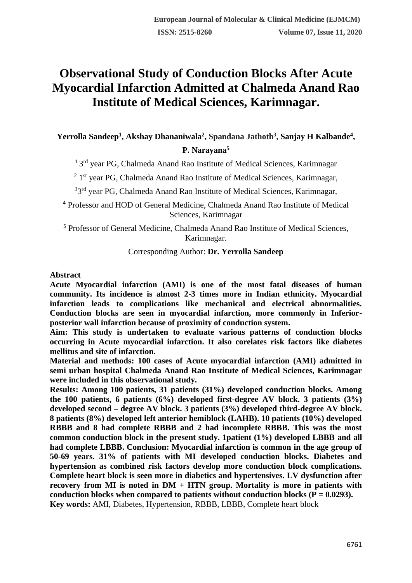## **Observational Study of Conduction Blocks After Acute Myocardial Infarction Admitted at Chalmeda Anand Rao Institute of Medical Sciences, Karimnagar.**

# **Yerrolla Sandeep<sup>1</sup> , Akshay Dhananiwala<sup>2</sup> , Spandana Jathoth<sup>3</sup> , Sanjay H Kalbande<sup>4</sup> ,**

### **P. Narayana<sup>5</sup>**

<sup>1</sup> 3<sup>rd</sup> year PG, Chalmeda Anand Rao Institute of Medical Sciences, Karimnagar

<sup>2</sup> 1<sup>st</sup> year PG, Chalmeda Anand Rao Institute of Medical Sciences, Karimnagar,

<sup>3</sup>3<sup>rd</sup> year PG, Chalmeda Anand Rao Institute of Medical Sciences, Karimnagar,

<sup>4</sup> Professor and HOD of General Medicine, Chalmeda Anand Rao Institute of Medical Sciences, Karimnagar

<sup>5</sup> Professor of General Medicine, Chalmeda Anand Rao Institute of Medical Sciences, Karimnagar.

#### Corresponding Author: **Dr. Yerrolla Sandeep**

#### **Abstract**

**Acute Myocardial infarction (AMI) is one of the most fatal diseases of human community. Its incidence is almost 2-3 times more in Indian ethnicity. Myocardial infarction leads to complications like mechanical and electrical abnormalities. Conduction blocks are seen in myocardial infarction, more commonly in Inferiorposterior wall infarction because of proximity of conduction system.** 

**Aim: This study is undertaken to evaluate various patterns of conduction blocks occurring in Acute myocardial infarction. It also corelates risk factors like diabetes mellitus and site of infarction.**

**Material and methods: 100 cases of Acute myocardial infarction (AMI) admitted in semi urban hospital Chalmeda Anand Rao Institute of Medical Sciences, Karimnagar were included in this observational study.**

**Results: Among 100 patients, 31 patients (31%) developed conduction blocks. Among the 100 patients, 6 patients (6%) developed first-degree AV block. 3 patients (3%) developed second – degree AV block. 3 patients (3%) developed third-degree AV block. 8 patients (8%) developed left anterior hemiblock (LAHB). 10 patients (10%) developed RBBB and 8 had complete RBBB and 2 had incomplete RBBB. This was the most common conduction block in the present study. 1patient (1%) developed LBBB and all had complete LBBB. Conclusion: Myocardial infarction is common in the age group of 50-69 years. 31% of patients with MI developed conduction blocks. Diabetes and hypertension as combined risk factors develop more conduction block complications. Complete heart block is seen more in diabetics and hypertensives. LV dysfunction after recovery from MI is noted in DM + HTN group. Mortality is more in patients with**  conduction blocks when compared to patients without conduction blocks  $(P = 0.0293)$ . **Key words:** AMI, Diabetes, Hypertension, RBBB, LBBB, Complete heart block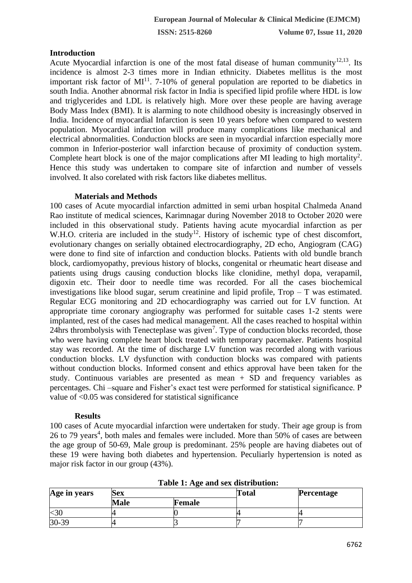**ISSN: 2515-8260 Volume 07, Issue 11, 2020**

#### **Introduction**

Acute Myocardial infarction is one of the most fatal disease of human community<sup>12,13</sup>. Its incidence is almost 2-3 times more in Indian ethnicity. Diabetes mellitus is the most important risk factor of  $MI<sup>11</sup>$ . 7-10% of general population are reported to be diabetics in south India. Another abnormal risk factor in India is specified lipid profile where HDL is low and triglycerides and LDL is relatively high. More over these people are having average Body Mass Index (BMI). It is alarming to note childhood obesity is increasingly observed in India. Incidence of myocardial Infarction is seen 10 years before when compared to western population. Myocardial infarction will produce many complications like mechanical and electrical abnormalities. Conduction blocks are seen in myocardial infarction especially more common in Inferior-posterior wall infarction because of proximity of conduction system. Complete heart block is one of the major complications after MI leading to high mortality<sup>2</sup>. Hence this study was undertaken to compare site of infarction and number of vessels involved. It also corelated with risk factors like diabetes mellitus.

#### **Materials and Methods**

100 cases of Acute myocardial infarction admitted in semi urban hospital Chalmeda Anand Rao institute of medical sciences, Karimnagar during November 2018 to October 2020 were included in this observational study. Patients having acute myocardial infarction as per W.H.O. criteria are included in the study<sup>12</sup>. History of ischemic type of chest discomfort, evolutionary changes on serially obtained electrocardiography, 2D echo, Angiogram (CAG) were done to find site of infarction and conduction blocks. Patients with old bundle branch block, cardiomyopathy, previous history of blocks, congenital or rheumatic heart disease and patients using drugs causing conduction blocks like clonidine, methyl dopa, verapamil, digoxin etc. Their door to needle time was recorded. For all the cases biochemical investigations like blood sugar, serum creatinine and lipid profile, Trop – T was estimated. Regular ECG monitoring and 2D echocardiography was carried out for LV function. At appropriate time coronary angiography was performed for suitable cases 1-2 stents were implanted, rest of the cases had medical management. All the cases reached to hospital within 24hrs thrombolysis with Tenecteplase was given<sup>7</sup>. Type of conduction blocks recorded, those who were having complete heart block treated with temporary pacemaker. Patients hospital stay was recorded. At the time of discharge LV function was recorded along with various conduction blocks. LV dysfunction with conduction blocks was compared with patients without conduction blocks. Informed consent and ethics approval have been taken for the study. Continuous variables are presented as mean + SD and frequency variables as percentages. Chi –square and Fisher's exact test were performed for statistical significance. P value of <0.05 was considered for statistical significance

#### **Results**

100 cases of Acute myocardial infarction were undertaken for study. Their age group is from 26 to 79 years<sup>4</sup>, both males and females were included. More than 50% of cases are between the age group of 50-69, Male group is predominant. 25% people are having diabetes out of these 19 were having both diabetes and hypertension. Peculiarly hypertension is noted as major risk factor in our group (43%).

| Age in years | Sex         |        | <b>Total</b> | <b>Percentage</b> |
|--------------|-------------|--------|--------------|-------------------|
|              | <b>Male</b> | Female |              |                   |
|              |             |        |              |                   |
| $30 - 39$    |             |        |              |                   |

**Table 1: Age and sex distribution:**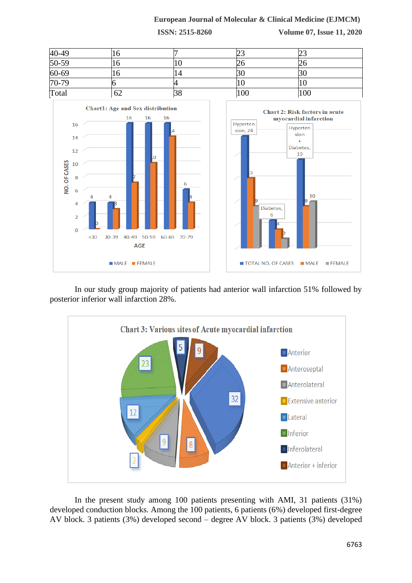#### **European Journal of Molecular & Clinical Medicine (EJMCM)**

**ISSN: 2515-8260 Volume 07, Issue 11, 2020**





In our study group majority of patients had anterior wall infarction 51% followed by posterior inferior wall infarction 28%.



In the present study among 100 patients presenting with AMI, 31 patients (31%) developed conduction blocks. Among the 100 patients, 6 patients (6%) developed first-degree AV block. 3 patients (3%) developed second – degree AV block. 3 patients (3%) developed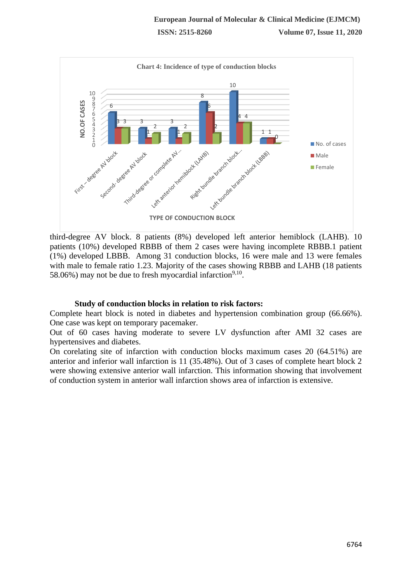

third-degree AV block. 8 patients (8%) developed left anterior hemiblock (LAHB). 10 patients (10%) developed RBBB of them 2 cases were having incomplete RBBB.1 patient (1%) developed LBBB. Among 31 conduction blocks, 16 were male and 13 were females with male to female ratio 1.23. Majority of the cases showing RBBB and LAHB (18 patients 58.06%) may not be due to fresh myocardial infarction<sup>9,10</sup>.

#### **Study of conduction blocks in relation to risk factors:**

Complete heart block is noted in diabetes and hypertension combination group (66.66%). One case was kept on temporary pacemaker.

Out of 60 cases having moderate to severe LV dysfunction after AMI 32 cases are hypertensives and diabetes.

On corelating site of infarction with conduction blocks maximum cases 20 (64.51%) are anterior and inferior wall infarction is 11 (35.48%). Out of 3 cases of complete heart block 2 were showing extensive anterior wall infarction. This information showing that involvement of conduction system in anterior wall infarction shows area of infarction is extensive.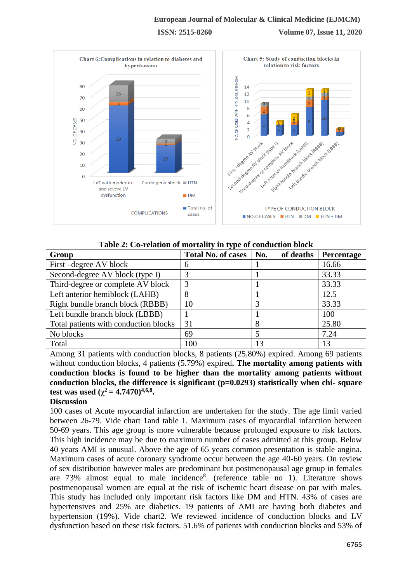## **European Journal of Molecular & Clinical Medicine (EJMCM) ISSN: 2515-8260 Volume 07, Issue 11, 2020**



**Table 2: Co-relation of mortality in type of conduction block**

| Group                                 | <b>Total No. of cases</b> | No.<br>of deaths | Percentage |
|---------------------------------------|---------------------------|------------------|------------|
| First-degree AV block                 | 6                         |                  | 16.66      |
| Second-degree AV block (type I)       |                           |                  | 33.33      |
| Third-degree or complete AV block     | 3                         |                  | 33.33      |
| Left anterior hemiblock (LAHB)        |                           |                  | 12.5       |
| Right bundle branch block (RBBB)      | 10                        |                  | 33.33      |
| Left bundle branch block (LBBB)       |                           |                  | 100        |
| Total patients with conduction blocks | 31                        |                  | 25.80      |
| No blocks                             | 69                        |                  | 7.24       |
| Total                                 | 100                       | 13               | 13         |

Among 31 patients with conduction blocks, 8 patients (25.80%) expired. Among 69 patients without conduction blocks, 4 patients (5.79%) expired**. The mortality among patients with conduction blocks is found to be higher than the mortality among patients without conduction blocks, the difference is significant (p=0.0293) statistically when chi- square test was used**  $(\chi^2 = 4.7470)^{4,6,8}$ .

#### **Discussion**

100 cases of Acute myocardial infarction are undertaken for the study. The age limit varied between 26-79. Vide chart 1and table 1. Maximum cases of myocardial infarction between 50-69 years. This age group is more vulnerable because prolonged exposure to risk factors. This high incidence may be due to maximum number of cases admitted at this group. Below 40 years AMI is unusual. Above the age of 65 years common presentation is stable angina. Maximum cases of acute coronary syndrome occur between the age 40-60 years. On review of sex distribution however males are predominant but postmenopausal age group in females are 73% almost equal to male incidence<sup>8</sup>. (reference table no 1). Literature shows postmenopausal women are equal at the risk of ischemic heart disease on par with males. This study has included only important risk factors like DM and HTN. 43% of cases are hypertensives and 25% are diabetics. 19 patients of AMI are having both diabetes and hypertension (19%). Vide chart2. We reviewed incidence of conduction blocks and LV dysfunction based on these risk factors. 51.6% of patients with conduction blocks and 53% of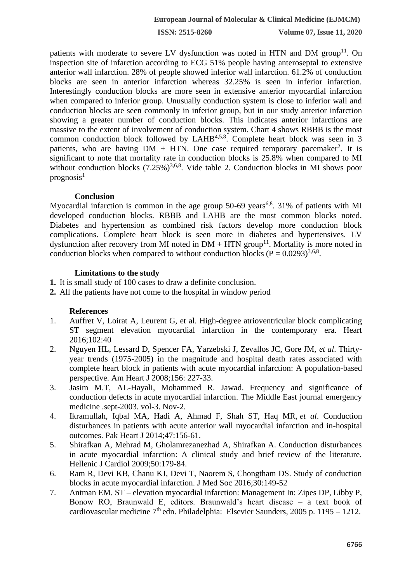**ISSN: 2515-8260 Volume 07, Issue 11, 2020**

patients with moderate to severe LV dysfunction was noted in HTN and DM group<sup>11</sup>. On inspection site of infarction according to ECG 51% people having anteroseptal to extensive anterior wall infarction. 28% of people showed inferior wall infarction. 61.2% of conduction blocks are seen in anterior infarction whereas 32.25% is seen in inferior infarction. Interestingly conduction blocks are more seen in extensive anterior myocardial infarction when compared to inferior group. Unusually conduction system is close to inferior wall and conduction blocks are seen commonly in inferior group, but in our study anterior infarction showing a greater number of conduction blocks. This indicates anterior infarctions are massive to the extent of involvement of conduction system. Chart 4 shows RBBB is the most common conduction block followed by LAHB<sup>4,5,8</sup>. Complete heart block was seen in 3 patients, who are having  $DM + HTN$ . One case required temporary pacemaker<sup>2</sup>. It is significant to note that mortality rate in conduction blocks is 25.8% when compared to MI without conduction blocks  $(7.25\%)^{3,6,8}$ . Vide table 2. Conduction blocks in MI shows poor  $prognosis<sup>1</sup>$ 

#### **Conclusion**

Myocardial infarction is common in the age group  $50-69$  years<sup>6,8</sup>. 31% of patients with MI developed conduction blocks. RBBB and LAHB are the most common blocks noted. Diabetes and hypertension as combined risk factors develop more conduction block complications. Complete heart block is seen more in diabetes and hypertensives. LV dysfunction after recovery from MI noted in  $DM + HTN$  group<sup>11</sup>. Mortality is more noted in conduction blocks when compared to without conduction blocks ( $P = 0.0293$ )<sup>3,6,8</sup>.

#### **Limitations to the study**

- **1.** It is small study of 100 cases to draw a definite conclusion.
- **2.** All the patients have not come to the hospital in window period

#### **References**

- 1. Auffret V, Loirat A, Leurent G, et al. High-degree atrioventricular block complicating ST segment elevation myocardial infarction in the contemporary era. Heart 2016;102:40
- 2. Nguyen HL, Lessard D, Spencer FA, Yarzebski J, Zevallos JC, Gore JM, *et al*. Thirtyyear trends (1975-2005) in the magnitude and hospital death rates associated with complete heart block in patients with acute myocardial infarction: A population-based perspective. Am Heart J 2008;156: 227-33.
- 3. Jasim M.T, AL-Hayali, Mohammed R. Jawad. Frequency and significance of conduction defects in acute myocardial infarction. The Middle East journal emergency medicine .sept-2003. vol-3. Nov-2.
- 4. Ikramullah, Iqbal MA, Hadi A, Ahmad F, Shah ST, Haq MR, *et al*. Conduction disturbances in patients with acute anterior wall myocardial infarction and in-hospital outcomes. Pak Heart J 2014;47:156-61.
- 5. Shirafkan A, Mehrad M, Gholamrezanezhad A, Shirafkan A. Conduction disturbances in acute myocardial infarction: A clinical study and brief review of the literature. Hellenic J Cardiol 2009;50:179-84.
- 6. Ram R, Devi KB, Chanu KJ, Devi T, Naorem S, Chongtham DS. Study of conduction blocks in acute myocardial infarction. J Med Soc 2016;30:149-52
- 7. Antman EM. ST elevation myocardial infarction: Management In: Zipes DP, Libby P, Bonow RO, Braunwald E, editors. Braunwald's heart disease – a text book of cardiovascular medicine  $7<sup>th</sup>$  edn. Philadelphia: Elsevier Saunders, 2005 p. 1195 – 1212.